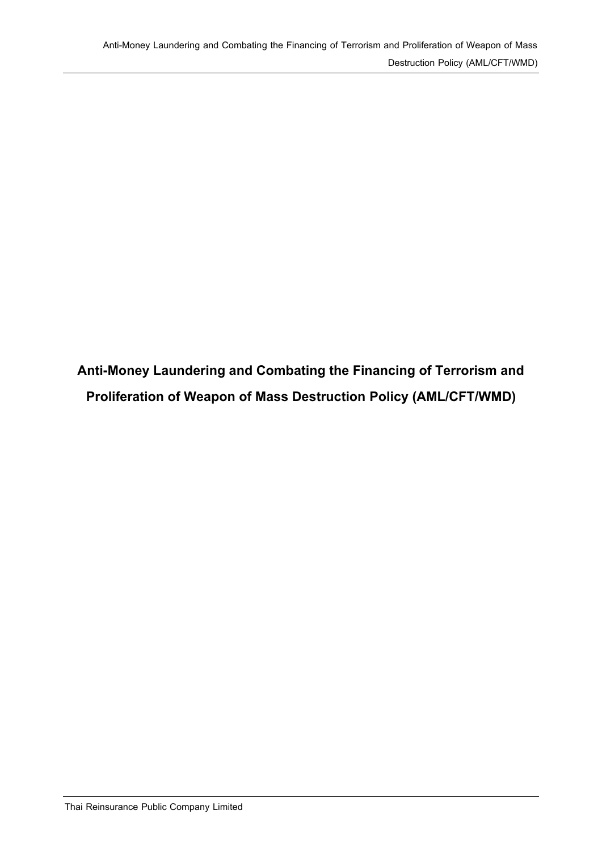**Anti-Money Laundering and Combating the Financing of Terrorism and Proliferation of Weapon of Mass Destruction Policy (AML/CFT/WMD)**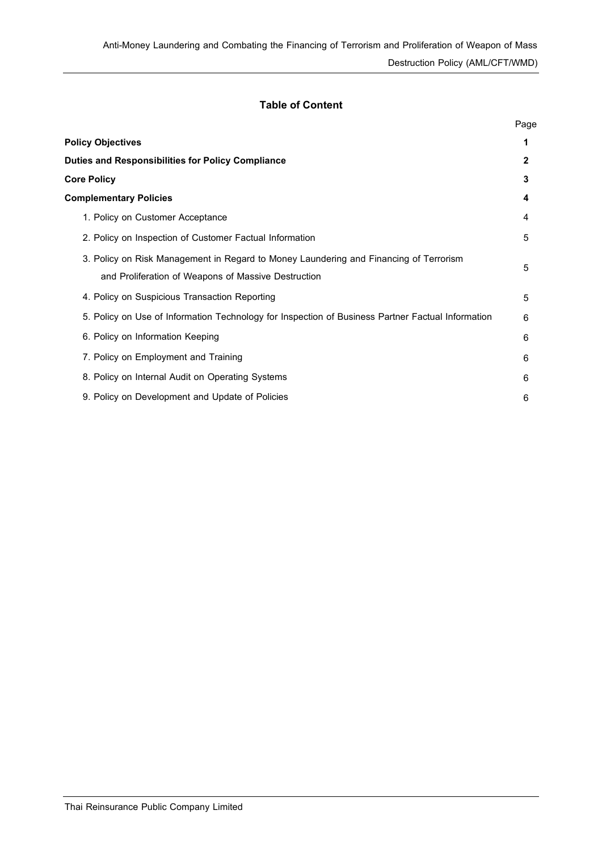# **Table of Content**

|                                                                                                   | Page         |
|---------------------------------------------------------------------------------------------------|--------------|
| <b>Policy Objectives</b>                                                                          | 1            |
| <b>Duties and Responsibilities for Policy Compliance</b>                                          | $\mathbf{2}$ |
| <b>Core Policy</b>                                                                                | 3            |
| <b>Complementary Policies</b>                                                                     | 4            |
| 1. Policy on Customer Acceptance                                                                  | 4            |
| 2. Policy on Inspection of Customer Factual Information                                           | 5            |
| 3. Policy on Risk Management in Regard to Money Laundering and Financing of Terrorism             | 5            |
| and Proliferation of Weapons of Massive Destruction                                               |              |
| 4. Policy on Suspicious Transaction Reporting                                                     | 5            |
| 5. Policy on Use of Information Technology for Inspection of Business Partner Factual Information | 6            |
| 6. Policy on Information Keeping                                                                  | 6            |
| 7. Policy on Employment and Training                                                              | 6            |
| 8. Policy on Internal Audit on Operating Systems                                                  | 6            |
| 9. Policy on Development and Update of Policies                                                   | 6            |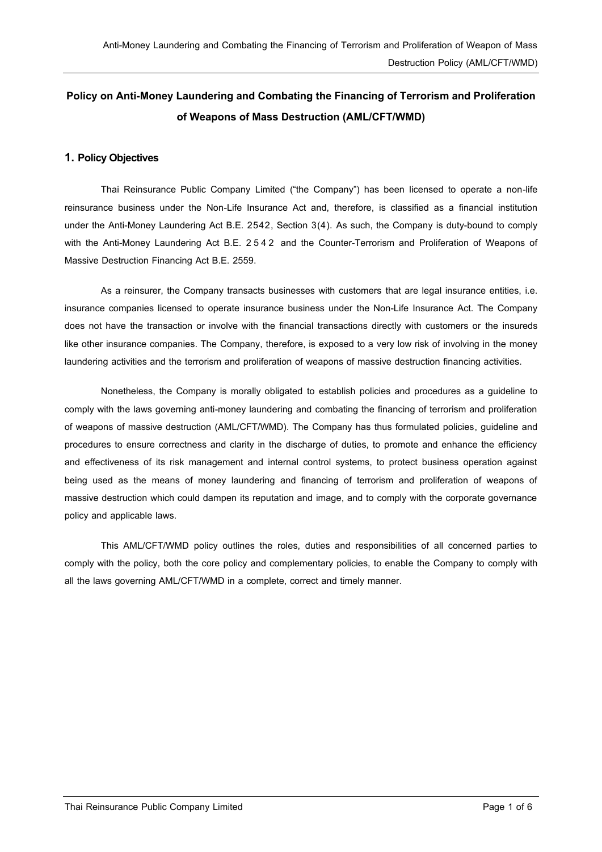# **Policy on Anti-Money Laundering and Combating the Financing of Terrorism and Proliferation of Weapons of Mass Destruction (AML/CFT/WMD)**

# **1. Policy Objectives**

Thai Reinsurance Public Company Limited ("the Company") has been licensed to operate a non-life reinsurance business under the Non-Life Insurance Act and, therefore, is classified as a financial institution under the Anti-Money Laundering Act B.E. 2542, Section 3(4). As such, the Company is duty-bound to comply with the Anti-Money Laundering Act B.E. 2 5 4 2 and the Counter-Terrorism and Proliferation of Weapons of Massive Destruction Financing Act B.E. 2559.

As a reinsurer, the Company transacts businesses with customers that are legal insurance entities, i.e. insurance companies licensed to operate insurance business under the Non-Life Insurance Act. The Company does not have the transaction or involve with the financial transactions directly with customers or the insureds like other insurance companies. The Company, therefore, is exposed to a very low risk of involving in the money laundering activities and the terrorism and proliferation of weapons of massive destruction financing activities.

Nonetheless, the Company is morally obligated to establish policies and procedures as a guideline to comply with the laws governing anti-money laundering and combating the financing of terrorism and proliferation of weapons of massive destruction (AML/CFT/WMD). The Company has thus formulated policies, guideline and procedures to ensure correctness and clarity in the discharge of duties, to promote and enhance the efficiency and effectiveness of its risk management and internal control systems, to protect business operation against being used as the means of money laundering and financing of terrorism and proliferation of weapons of massive destruction which could dampen its reputation and image, and to comply with the corporate governance policy and applicable laws.

This AML/CFT/WMD policy outlines the roles, duties and responsibilities of all concerned parties to comply with the policy, both the core policy and complementary policies, to enable the Company to comply with all the laws governing AML/CFT/WMD in a complete, correct and timely manner.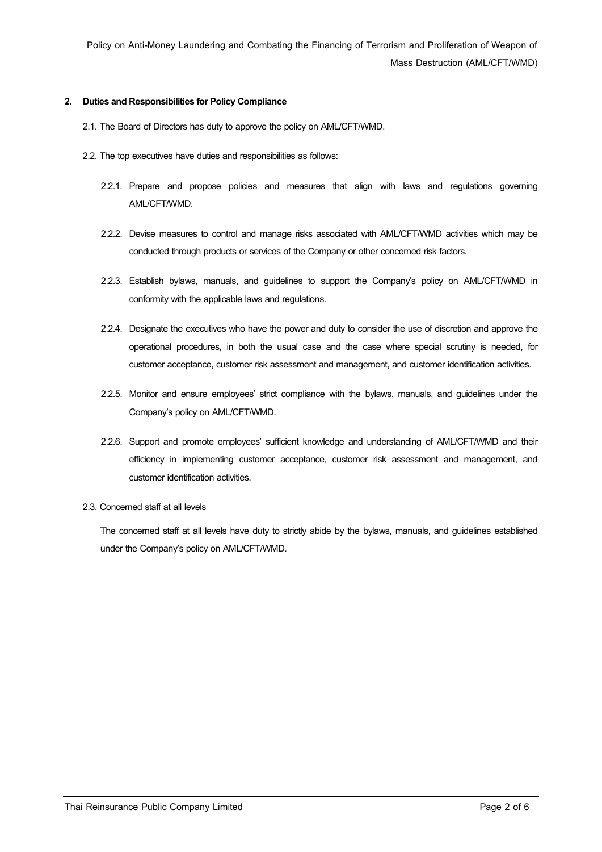### **2. Duties and Responsibilities for Policy Compliance**

- 2.1.The Board of Directors has duty to approve the policy on AML/CFT/WMD.
- 2.2.The top executives have duties and responsibilities as follows:
	- 2.2.1. Prepare and propose policies and measures that align with laws and regulations governing AML/CFT/WMD.
	- 2.2.2. Devise measures to control and manage risks associated with AML/CFT/WMD activities which may be conducted through products or services of the Company or other concerned risk factors.
	- 2.2.3. Establish bylaws, manuals, and guidelines to support the Company's policy on AML/CFT/WMD in conformity with the applicable laws and regulations.
	- 2.2.4. Designate the executives who have the power and duty to consider the use of discretion and approve the operational procedures, in both the usual case and the case where special scrutiny is needed, for customer acceptance, customer risk assessment and management, and customer identification activities.
	- 2.2.5. Monitor and ensure employees' strict compliance with the bylaws, manuals, and guidelines under the Company's policy on AML/CFT/WMD.
	- 2.2.6. Support and promote employees' sufficient knowledge and understanding of AML/CFT/WMD and their efficiency in implementing customer acceptance, customer risk assessment and management, and customer identification activities.
- 2.3. Concerned staff at all levels

The concerned staff at all levels have duty to strictly abide by the bylaws, manuals, and guidelines established under the Company's policy on AML/CFT/WMD.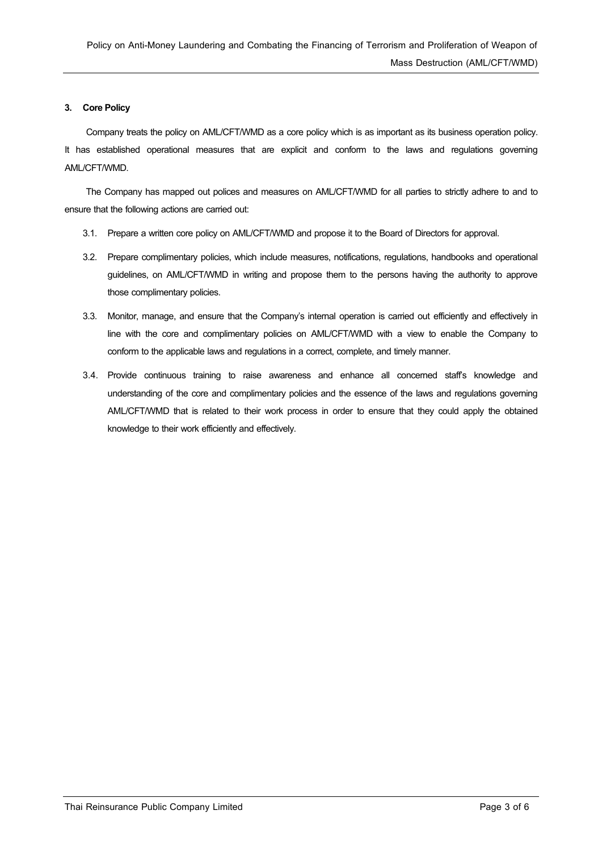# **3. Core Policy**

Company treats the policy on AML/CFT/WMD as a core policy which is as important as its business operation policy. It has established operational measures that are explicit and conform to the laws and regulations governing AML/CFT/WMD.

The Company has mapped out polices and measures on AML/CFT/WMD for all parties to strictly adhere to and to ensure that the following actions are carried out:

- 3.1. Prepare a written core policy on AML/CFT/WMD and propose it to the Board of Directors for approval.
- 3.2. Prepare complimentary policies, which include measures, notifications, regulations, handbooks and operational guidelines, on AML/CFT/WMD in writing and propose them to the persons having the authority to approve those complimentary policies.
- 3.3. Monitor, manage, and ensure that the Company's internal operation is carried out efficiently and effectively in line with the core and complimentary policies on AML/CFT/WMD with a view to enable the Company to conform to the applicable laws and regulations in a correct, complete, and timely manner.
- 3.4. Provide continuous training to raise awareness and enhance all concerned staff's knowledge and understanding of the core and complimentary policies and the essence of the laws and regulations governing AML/CFT/WMD that is related to their work process in order to ensure that they could apply the obtained knowledge to their work efficiently and effectively.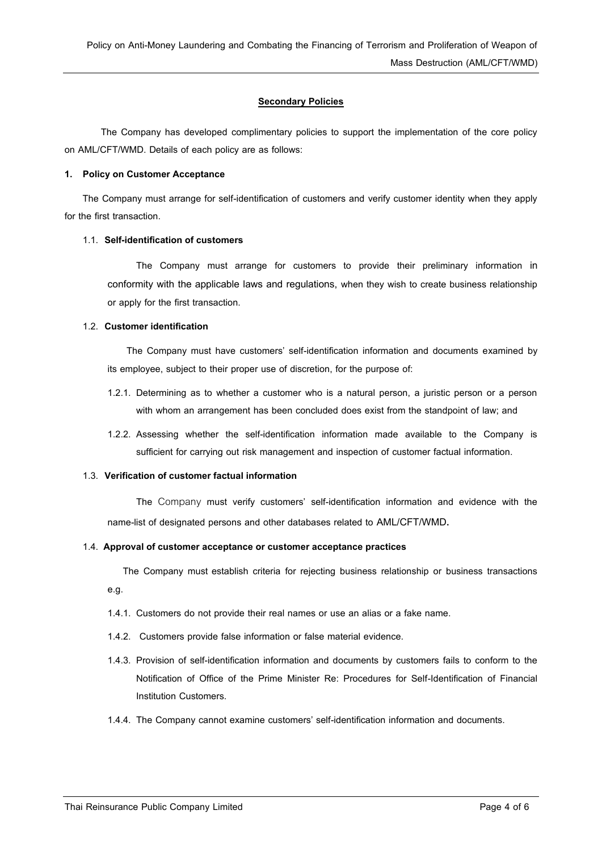# **Secondary Policies**

The Company has developed complimentary policies to support the implementation of the core policy on AML/CFT/WMD. Details of each policy are as follows:

### **1. Policy on Customer Acceptance**

The Company must arrange for self-identification of customers and verify customer identity when they apply for the first transaction.

# 1.1. **Self-identification of customers**

The Company must arrange for customers to provide their preliminary information in conformity with the applicable laws and regulations, when they wish to create business relationship or apply for the first transaction.

# 1.2. **Customer identification**

 The Company must have customers' self-identification information and documents examined by its employee, subject to their proper use of discretion, for the purpose of:

- 1.2.1. Determining as to whether a customer who is a natural person, a juristic person or a person with whom an arrangement has been concluded does exist from the standpoint of law; and
- 1.2.2. Assessing whether the self-identification information made available to the Company is sufficient for carrying out risk management and inspection of customer factual information.

# 1.3. **Verification of customer factual information**

The Company must verify customers' self-identification information and evidence with the name-list of designated persons and other databases related to AML/CFT/WMD**.**

# 1.4. **Approval of customer acceptance or customer acceptance practices**

The Company must establish criteria for rejecting business relationship or business transactions e.g.

- 1.4.1. Customers do not provide their real names or use an alias or a fake name.
- 1.4.2. Customers provide false information or false material evidence.
- 1.4.3. Provision of self-identification information and documents by customers fails to conform to the Notification of Office of the Prime Minister Re: Procedures for Self-Identification of Financial Institution Customers.
- 1.4.4. The Company cannot examine customers' self-identification information and documents.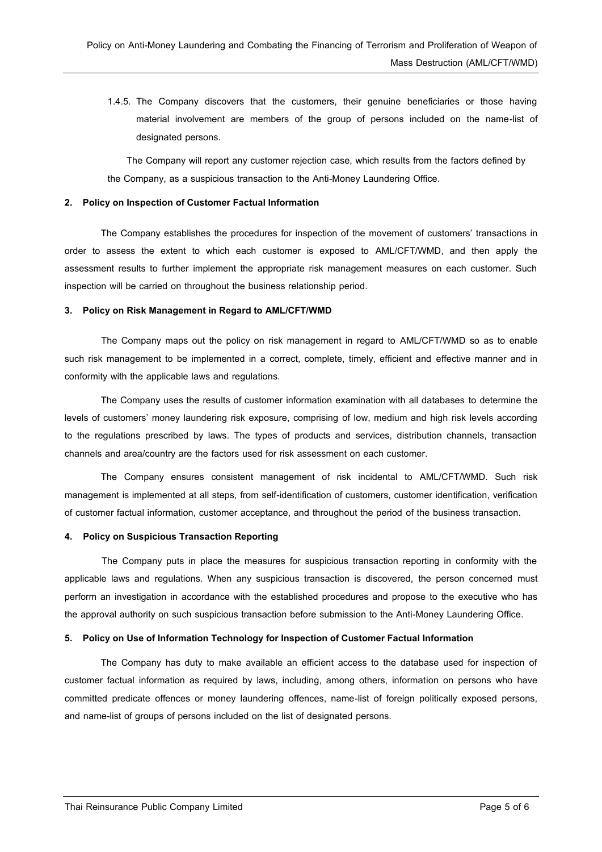1.4.5. The Company discovers that the customers, their genuine beneficiaries or those having material involvement are members of the group of persons included on the name-list of designated persons.

 The Company will report any customer rejection case, which results from the factors defined by the Company, as a suspicious transaction to the Anti-Money Laundering Office.

#### **2. Policy on Inspection of Customer Factual Information**

The Company establishes the procedures for inspection of the movement of customers' transactions in order to assess the extent to which each customer is exposed to AML/CFT/WMD, and then apply the assessment results to further implement the appropriate risk management measures on each customer. Such inspection will be carried on throughout the business relationship period.

# **3. Policy on Risk Management in Regard to AML/CFT/WMD**

The Company maps out the policy on risk management in regard to AML/CFT/WMD so as to enable such risk management to be implemented in a correct, complete, timely, efficient and effective manner and in conformity with the applicable laws and regulations.

The Company uses the results of customer information examination with all databases to determine the levels of customers' money laundering risk exposure, comprising of low, medium and high risk levels according to the regulations prescribed by laws. The types of products and services, distribution channels, transaction channels and area/country are the factors used for risk assessment on each customer.

The Company ensures consistent management of risk incidental to AML/CFT/WMD. Such risk management is implemented at all steps, from self-identification of customers, customer identification, verification of customer factual information, customer acceptance, and throughout the period of the business transaction.

### **4. Policy on Suspicious Transaction Reporting**

The Company puts in place the measures for suspicious transaction reporting in conformity with the applicable laws and regulations. When any suspicious transaction is discovered, the person concerned must perform an investigation in accordance with the established procedures and propose to the executive who has the approval authority on such suspicious transaction before submission to the Anti-Money Laundering Office.

# **5. Policy on Use of Information Technology for Inspection of Customer Factual Information**

The Company has duty to make available an efficient access to the database used for inspection of customer factual information as required by laws, including, among others, information on persons who have committed predicate offences or money laundering offences, name-list of foreign politically exposed persons, and name-list of groups of persons included on the list of designated persons.